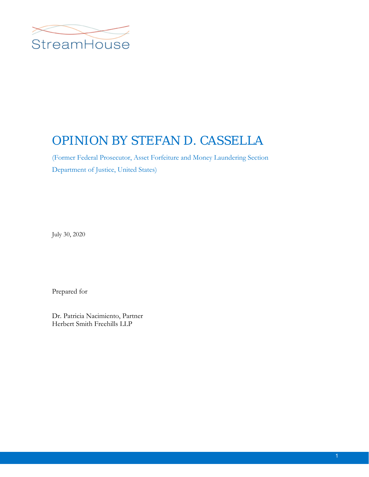

# OPINION BY STEFAN D. CASSELLA

(Former Federal Prosecutor, Asset Forfeiture and Money Laundering Section Department of Justice, United States)

July 30, 2020

Prepared for

Dr. Patricia Nacimiento, Partner Herbert Smith Freehills LLP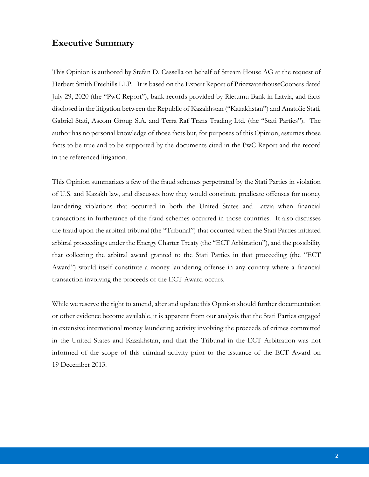# **Executive Summary**

This Opinion is authored by Stefan D. Cassella on behalf of Stream House AG at the request of Herbert Smith Freehills LLP. It is based on the Expert Report of PricewaterhouseCoopers dated July 29, 2020 (the "PwC Report"), bank records provided by Rietumu Bank in Latvia, and facts disclosed in the litigation between the Republic of Kazakhstan ("Kazakhstan") and Anatolie Stati, Gabriel Stati, Ascom Group S.A. and Terra Raf Trans Trading Ltd. (the "Stati Parties"). The author has no personal knowledge of those facts but, for purposes of this Opinion, assumes those facts to be true and to be supported by the documents cited in the PwC Report and the record in the referenced litigation.

This Opinion summarizes a few of the fraud schemes perpetrated by the Stati Parties in violation of U.S. and Kazakh law, and discusses how they would constitute predicate offenses for money laundering violations that occurred in both the United States and Latvia when financial transactions in furtherance of the fraud schemes occurred in those countries. It also discusses the fraud upon the arbitral tribunal (the "Tribunal") that occurred when the Stati Parties initiated arbitral proceedings under the Energy Charter Treaty (the "ECT Arbitration"), and the possibility that collecting the arbitral award granted to the Stati Parties in that proceeding (the "ECT Award") would itself constitute a money laundering offense in any country where a financial transaction involving the proceeds of the ECT Award occurs.

While we reserve the right to amend, alter and update this Opinion should further documentation or other evidence become available, it is apparent from our analysis that the Stati Parties engaged in extensive international money laundering activity involving the proceeds of crimes committed in the United States and Kazakhstan, and that the Tribunal in the ECT Arbitration was not informed of the scope of this criminal activity prior to the issuance of the ECT Award on 19 December 2013.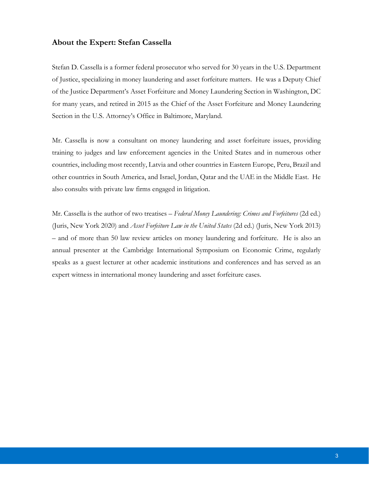## **About the Expert: Stefan Cassella**

Stefan D. Cassella is a former federal prosecutor who served for 30 years in the U.S. Department of Justice, specializing in money laundering and asset forfeiture matters. He was a Deputy Chief of the Justice Department's Asset Forfeiture and Money Laundering Section in Washington, DC for many years, and retired in 2015 as the Chief of the Asset Forfeiture and Money Laundering Section in the U.S. Attorney's Office in Baltimore, Maryland.

Mr. Cassella is now a consultant on money laundering and asset forfeiture issues, providing training to judges and law enforcement agencies in the United States and in numerous other countries, including most recently, Latvia and other countries in Eastern Europe, Peru, Brazil and other countries in South America, and Israel, Jordan, Qatar and the UAE in the Middle East. He also consults with private law firms engaged in litigation.

Mr. Cassella is the author of two treatises – *Federal Money Laundering: Crimes and Forfeitures* (2d ed.) (Juris, New York 2020) and *Asset Forfeiture Law in the United States* (2d ed.) (Juris, New York 2013) – and of more than 50 law review articles on money laundering and forfeiture. He is also an annual presenter at the Cambridge International Symposium on Economic Crime, regularly speaks as a guest lecturer at other academic institutions and conferences and has served as an expert witness in international money laundering and asset forfeiture cases.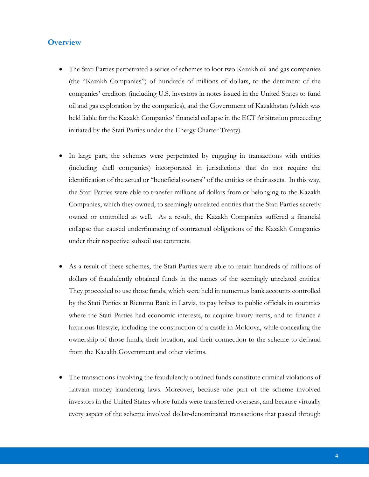# **Overview**

- The Stati Parties perpetrated a series of schemes to loot two Kazakh oil and gas companies (the "Kazakh Companies") of hundreds of millions of dollars, to the detriment of the companies' creditors (including U.S. investors in notes issued in the United States to fund oil and gas exploration by the companies), and the Government of Kazakhstan (which was held liable for the Kazakh Companies' financial collapse in the ECT Arbitration proceeding initiated by the Stati Parties under the Energy Charter Treaty).
- In large part, the schemes were perpetrated by engaging in transactions with entities (including shell companies) incorporated in jurisdictions that do not require the identification of the actual or "beneficial owners" of the entities or their assets. In this way, the Stati Parties were able to transfer millions of dollars from or belonging to the Kazakh Companies, which they owned, to seemingly unrelated entities that the Stati Parties secretly owned or controlled as well. As a result, the Kazakh Companies suffered a financial collapse that caused underfinancing of contractual obligations of the Kazakh Companies under their respective subsoil use contracts.
- As a result of these schemes, the Stati Parties were able to retain hundreds of millions of dollars of fraudulently obtained funds in the names of the seemingly unrelated entities. They proceeded to use those funds, which were held in numerous bank accounts controlled by the Stati Parties at Rietumu Bank in Latvia, to pay bribes to public officials in countries where the Stati Parties had economic interests, to acquire luxury items, and to finance a luxurious lifestyle, including the construction of a castle in Moldova, while concealing the ownership of those funds, their location, and their connection to the scheme to defraud from the Kazakh Government and other victims.
- The transactions involving the fraudulently obtained funds constitute criminal violations of Latvian money laundering laws. Moreover, because one part of the scheme involved investors in the United States whose funds were transferred overseas, and because virtually every aspect of the scheme involved dollar-denominated transactions that passed through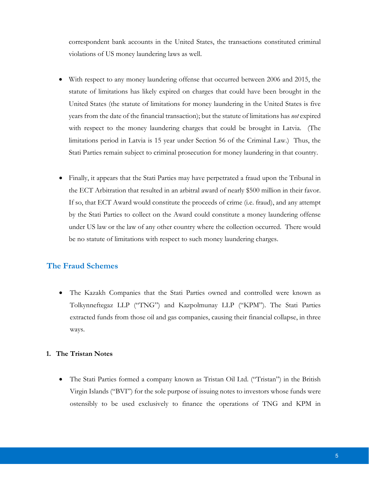correspondent bank accounts in the United States, the transactions constituted criminal violations of US money laundering laws as well.

- With respect to any money laundering offense that occurred between 2006 and 2015, the statute of limitations has likely expired on charges that could have been brought in the United States (the statute of limitations for money laundering in the United States is five years from the date of the financial transaction); but the statute of limitations has *not* expired with respect to the money laundering charges that could be brought in Latvia. (The limitations period in Latvia is 15 year under Section 56 of the Criminal Law.) Thus, the Stati Parties remain subject to criminal prosecution for money laundering in that country.
- Finally, it appears that the Stati Parties may have perpetrated a fraud upon the Tribunal in the ECT Arbitration that resulted in an arbitral award of nearly \$500 million in their favor. If so, that ECT Award would constitute the proceeds of crime (i.e. fraud), and any attempt by the Stati Parties to collect on the Award could constitute a money laundering offense under US law or the law of any other country where the collection occurred. There would be no statute of limitations with respect to such money laundering charges.

# **The Fraud Schemes**

 The Kazakh Companies that the Stati Parties owned and controlled were known as Tolkynneftegaz LLP ("TNG") and Kazpolmunay LLP ("KPM"). The Stati Parties extracted funds from those oil and gas companies, causing their financial collapse, in three ways.

#### **1. The Tristan Notes**

 The Stati Parties formed a company known as Tristan Oil Ltd. ("Tristan") in the British Virgin Islands ("BVI") for the sole purpose of issuing notes to investors whose funds were ostensibly to be used exclusively to finance the operations of TNG and KPM in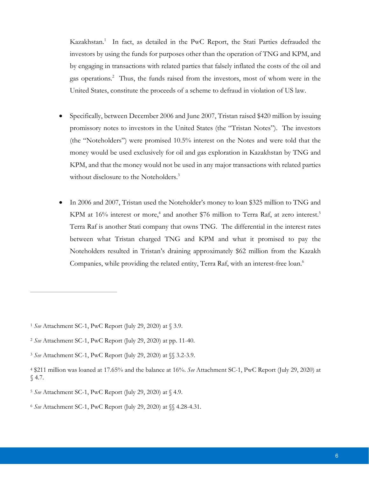Kazakhstan.<sup>1</sup> In fact, as detailed in the PwC Report, the Stati Parties defrauded the investors by using the funds for purposes other than the operation of TNG and KPM, and by engaging in transactions with related parties that falsely inflated the costs of the oil and gas operations.<sup>2</sup> Thus, the funds raised from the investors, most of whom were in the United States, constitute the proceeds of a scheme to defraud in violation of US law.

- Specifically, between December 2006 and June 2007, Tristan raised \$420 million by issuing promissory notes to investors in the United States (the "Tristan Notes"). The investors (the "Noteholders") were promised 10.5% interest on the Notes and were told that the money would be used exclusively for oil and gas exploration in Kazakhstan by TNG and KPM, and that the money would not be used in any major transactions with related parties without disclosure to the Noteholders.<sup>3</sup>
- In 2006 and 2007, Tristan used the Noteholder's money to loan \$325 million to TNG and KPM at 16% interest or more,<sup>4</sup> and another \$76 million to Terra Raf, at zero interest.<sup>5</sup> Terra Raf is another Stati company that owns TNG. The differential in the interest rates between what Tristan charged TNG and KPM and what it promised to pay the Noteholders resulted in Tristan's draining approximately \$62 million from the Kazakh Companies, while providing the related entity, Terra Raf, with an interest-free loan.<sup>6</sup>

<sup>1</sup> *See* Attachment SC-1, PwC Report (July 29, 2020) at § 3.9.

<sup>2</sup> *See* Attachment SC-1, PwC Report (July 29, 2020) at pp. 11-40.

<sup>3</sup> *See* Attachment SC-1, PwC Report (July 29, 2020) at §§ 3.2-3.9.

<sup>4 \$211</sup> million was loaned at 17.65% and the balance at 16%. *See* Attachment SC-1, PwC Report (July 29, 2020) at § 4.7.

<sup>5</sup> *See* Attachment SC-1, PwC Report (July 29, 2020) at § 4.9.

<sup>6</sup> *See* Attachment SC-1, PwC Report (July 29, 2020) at §§ 4.28-4.31.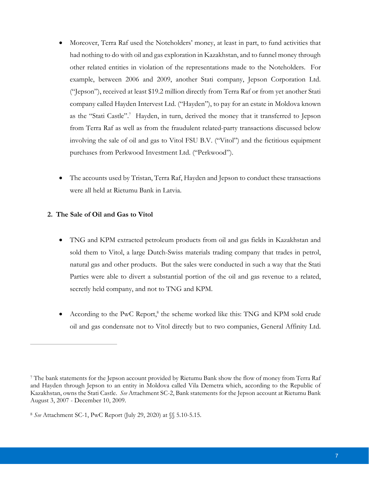- Moreover, Terra Raf used the Noteholders' money, at least in part, to fund activities that had nothing to do with oil and gas exploration in Kazakhstan, and to funnel money through other related entities in violation of the representations made to the Noteholders. For example, between 2006 and 2009, another Stati company, Jepson Corporation Ltd. ("Jepson"), received at least \$19.2 million directly from Terra Raf or from yet another Stati company called Hayden Intervest Ltd. ("Hayden"), to pay for an estate in Moldova known as the "Stati Castle".<sup>7</sup> Hayden, in turn, derived the money that it transferred to Jepson from Terra Raf as well as from the fraudulent related-party transactions discussed below involving the sale of oil and gas to Vitol FSU B.V. ("Vitol") and the fictitious equipment purchases from Perkwood Investment Ltd. ("Perkwood").
- The accounts used by Tristan, Terra Raf, Hayden and Jepson to conduct these transactions were all held at Rietumu Bank in Latvia.

### **2. The Sale of Oil and Gas to Vitol**

- TNG and KPM extracted petroleum products from oil and gas fields in Kazakhstan and sold them to Vitol, a large Dutch-Swiss materials trading company that trades in petrol, natural gas and other products. But the sales were conducted in such a way that the Stati Parties were able to divert a substantial portion of the oil and gas revenue to a related, secretly held company, and not to TNG and KPM.
- According to the PwC Report,<sup>8</sup> the scheme worked like this: TNG and KPM sold crude oil and gas condensate not to Vitol directly but to two companies, General Affinity Ltd.

<sup>7</sup> The bank statements for the Jepson account provided by Rietumu Bank show the flow of money from Terra Raf and Hayden through Jepson to an entity in Moldova called Vila Demetra which, according to the Republic of Kazakhstan, owns the Stati Castle. *See* Attachment SC-2, Bank statements for the Jepson account at Rietumu Bank August 3, 2007 - December 10, 2009.

<sup>8</sup> *See* Attachment SC-1, PwC Report (July 29, 2020) at §§ 5.10-5.15.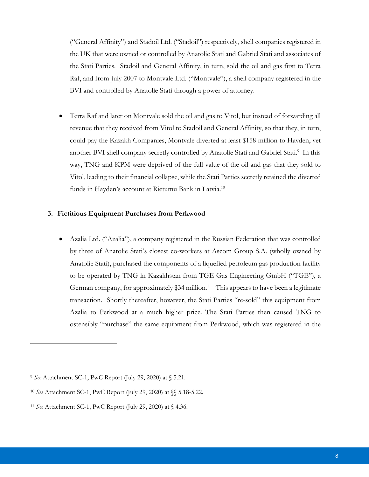("General Affinity") and Stadoil Ltd. ("Stadoil") respectively, shell companies registered in the UK that were owned or controlled by Anatolie Stati and Gabriel Stati and associates of the Stati Parties. Stadoil and General Affinity, in turn, sold the oil and gas first to Terra Raf, and from July 2007 to Montvale Ltd. ("Montvale"), a shell company registered in the BVI and controlled by Anatolie Stati through a power of attorney.

 Terra Raf and later on Montvale sold the oil and gas to Vitol, but instead of forwarding all revenue that they received from Vitol to Stadoil and General Affinity, so that they, in turn, could pay the Kazakh Companies, Montvale diverted at least \$158 million to Hayden, yet another BVI shell company secretly controlled by Anatolie Stati and Gabriel Stati.<sup>9</sup> In this way, TNG and KPM were deprived of the full value of the oil and gas that they sold to Vitol, leading to their financial collapse, while the Stati Parties secretly retained the diverted funds in Hayden's account at Rietumu Bank in Latvia.<sup>10</sup>

#### **3. Fictitious Equipment Purchases from Perkwood**

 Azalia Ltd. ("Azalia"), a company registered in the Russian Federation that was controlled by three of Anatolie Stati's closest co-workers at Ascom Group S.A. (wholly owned by Anatolie Stati), purchased the components of a liquefied petroleum gas production facility to be operated by TNG in Kazakhstan from TGE Gas Engineering GmbH ("TGE"), a German company, for approximately  $$34$  million.<sup>11</sup> This appears to have been a legitimate transaction. Shortly thereafter, however, the Stati Parties "re-sold" this equipment from Azalia to Perkwood at a much higher price. The Stati Parties then caused TNG to ostensibly "purchase" the same equipment from Perkwood, which was registered in the

<sup>9</sup> *See* Attachment SC-1, PwC Report (July 29, 2020) at § 5.21.

<sup>10</sup> *See* Attachment SC-1, PwC Report (July 29, 2020) at §§ 5.18-5.22.

<sup>11</sup> *See* Attachment SC-1, PwC Report (July 29, 2020) at § 4.36.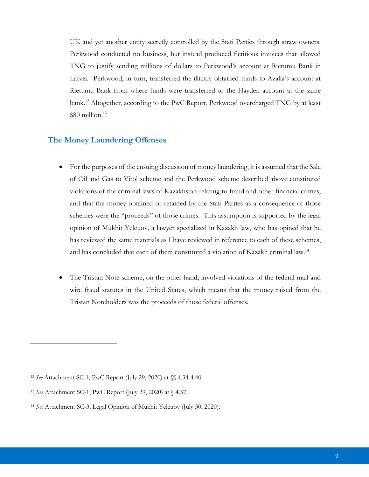UK and yet another entity secretly controlled by the Stati Parties through straw owners. Perkwood conducted no business, but instead produced fictitious invoices that allowed TNG to justify sending millions of dollars to Perkwood's account at Rietumu Bank in Latvia. Perkwood, in turn, transferred the illicitly obtained funds to Azalia's account at Rietumu Bank from where funds were transferred to the Hayden account at the same bank.12 Altogether, according to the PwC Report, Perkwood overcharged TNG by at least  $$80$  million.<sup>13</sup>

# **The Money Laundering Offenses**

- For the purposes of the ensuing discussion of money laundering, it is assumed that the Sale of Oil and Gas to Vitol scheme and the Perkwood scheme described above constituted violations of the criminal laws of Kazakhstan relating to fraud and other financial crimes, and that the money obtained or retained by the Stati Parties as a consequence of those schemes were the "proceeds" of those crimes. This assumption is supported by the legal opinion of Mukhit Yeleuov, a lawyer specialized in Kazakh law, who has opined that he has reviewed the same materials as I have reviewed in reference to each of these schemes, and has concluded that each of them constituted a violation of Kazakh criminal law.14
- The Tristan Note scheme, on the other hand, involved violations of the federal mail and wire fraud statutes in the United States, which means that the money raised from the Tristan Noteholders was the proceeds of those federal offenses.

<sup>12</sup>*See* Attachment SC-1, PwC Report (July 29, 2020) at §§ 4.34-4.40.

<sup>13</sup> *See* Attachment SC-1, PwC Report (July 29, 2020) at § 4.37.

<sup>14</sup> *See* Attachment SC-3, Legal Opinion of Mukhit Yeleuov (July 30, 2020).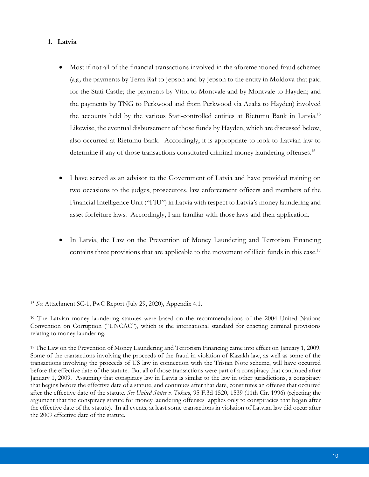### **1. Latvia**

 $\overline{a}$ 

- Most if not all of the financial transactions involved in the aforementioned fraud schemes (*e.g.,* the payments by Terra Raf to Jepson and by Jepson to the entity in Moldova that paid for the Stati Castle; the payments by Vitol to Montvale and by Montvale to Hayden; and the payments by TNG to Perkwood and from Perkwood via Azalia to Hayden) involved the accounts held by the various Stati-controlled entities at Rietumu Bank in Latvia.<sup>15</sup> Likewise, the eventual disbursement of those funds by Hayden, which are discussed below, also occurred at Rietumu Bank. Accordingly, it is appropriate to look to Latvian law to determine if any of those transactions constituted criminal money laundering offenses.<sup>16</sup>
- I have served as an advisor to the Government of Latvia and have provided training on two occasions to the judges, prosecutors, law enforcement officers and members of the Financial Intelligence Unit ("FIU") in Latvia with respect to Latvia's money laundering and asset forfeiture laws. Accordingly, I am familiar with those laws and their application.
- In Latvia, the Law on the Prevention of Money Laundering and Terrorism Financing contains three provisions that are applicable to the movement of illicit funds in this case.<sup>17</sup>

<sup>15</sup> *See* Attachment SC-1, PwC Report (July 29, 2020), Appendix 4.1.

<sup>16</sup> The Latvian money laundering statutes were based on the recommendations of the 2004 United Nations Convention on Corruption ("UNCAC"), which is the international standard for enacting criminal provisions relating to money laundering.

<sup>17</sup> The Law on the Prevention of Money Laundering and Terrorism Financing came into effect on January 1, 2009. Some of the transactions involving the proceeds of the fraud in violation of Kazakh law, as well as some of the transactions involving the proceeds of US law in connection with the Tristan Note scheme, will have occurred before the effective date of the statute. But all of those transactions were part of a conspiracy that continued after January 1, 2009. Assuming that conspiracy law in Latvia is similar to the law in other jurisdictions, a conspiracy that begins before the effective date of a statute, and continues after that date, constitutes an offense that occurred after the effective date of the statute. *See United States v. Tokars*, 95 F.3d 1520, 1539 (11th Cir. 1996) (rejecting the argument that the conspiracy statute for money laundering offenses applies only to conspiracies that began after the effective date of the statute). In all events, at least some transactions in violation of Latvian law did occur after the 2009 effective date of the statute.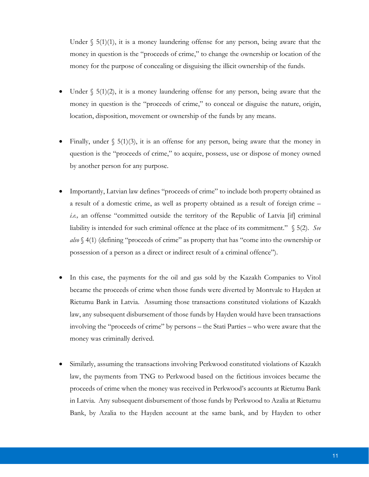Under  $\S$  5(1)(1), it is a money laundering offense for any person, being aware that the money in question is the "proceeds of crime," to change the ownership or location of the money for the purpose of concealing or disguising the illicit ownership of the funds.

- Under  $\S$  5(1)(2), it is a money laundering offense for any person, being aware that the money in question is the "proceeds of crime," to conceal or disguise the nature, origin, location, disposition, movement or ownership of the funds by any means.
- Finally, under  $\S$  5(1)(3), it is an offense for any person, being aware that the money in question is the "proceeds of crime," to acquire, possess, use or dispose of money owned by another person for any purpose.
- Importantly, Latvian law defines "proceeds of crime" to include both property obtained as a result of a domestic crime, as well as property obtained as a result of foreign crime – *i.e.,* an offense "committed outside the territory of the Republic of Latvia [if] criminal liability is intended for such criminal offence at the place of its commitment." § 5(2). *See also* § 4(1) (defining "proceeds of crime" as property that has "come into the ownership or possession of a person as a direct or indirect result of a criminal offence").
- In this case, the payments for the oil and gas sold by the Kazakh Companies to Vitol became the proceeds of crime when those funds were diverted by Montvale to Hayden at Rietumu Bank in Latvia. Assuming those transactions constituted violations of Kazakh law, any subsequent disbursement of those funds by Hayden would have been transactions involving the "proceeds of crime" by persons – the Stati Parties – who were aware that the money was criminally derived.
- Similarly, assuming the transactions involving Perkwood constituted violations of Kazakh law, the payments from TNG to Perkwood based on the fictitious invoices became the proceeds of crime when the money was received in Perkwood's accounts at Rietumu Bank in Latvia. Any subsequent disbursement of those funds by Perkwood to Azalia at Rietumu Bank, by Azalia to the Hayden account at the same bank, and by Hayden to other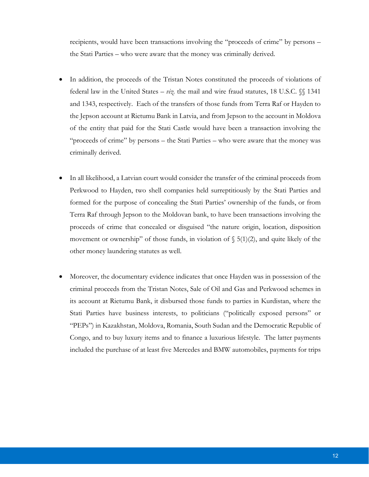recipients, would have been transactions involving the "proceeds of crime" by persons – the Stati Parties – who were aware that the money was criminally derived.

- In addition, the proceeds of the Tristan Notes constituted the proceeds of violations of federal law in the United States – *viz.* the mail and wire fraud statutes, 18 U.S.C. §§ 1341 and 1343, respectively. Each of the transfers of those funds from Terra Raf or Hayden to the Jepson account at Rietumu Bank in Latvia, and from Jepson to the account in Moldova of the entity that paid for the Stati Castle would have been a transaction involving the "proceeds of crime" by persons – the Stati Parties – who were aware that the money was criminally derived.
- In all likelihood, a Latvian court would consider the transfer of the criminal proceeds from Perkwood to Hayden, two shell companies held surreptitiously by the Stati Parties and formed for the purpose of concealing the Stati Parties' ownership of the funds, or from Terra Raf through Jepson to the Moldovan bank, to have been transactions involving the proceeds of crime that concealed or disguised "the nature origin, location, disposition movement or ownership" of those funds, in violation of  $\S$  5(1)(2), and quite likely of the other money laundering statutes as well.
- Moreover, the documentary evidence indicates that once Hayden was in possession of the criminal proceeds from the Tristan Notes, Sale of Oil and Gas and Perkwood schemes in its account at Rietumu Bank, it disbursed those funds to parties in Kurdistan, where the Stati Parties have business interests, to politicians ("politically exposed persons" or "PEPs") in Kazakhstan, Moldova, Romania, South Sudan and the Democratic Republic of Congo, and to buy luxury items and to finance a luxurious lifestyle. The latter payments included the purchase of at least five Mercedes and BMW automobiles, payments for trips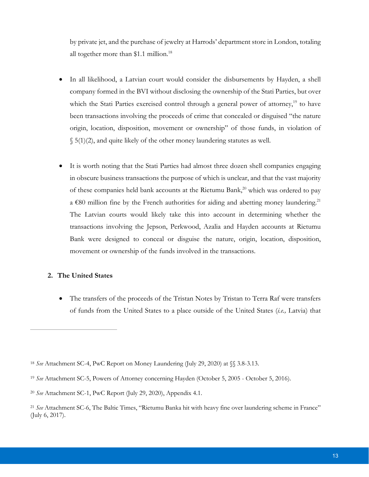by private jet, and the purchase of jewelry at Harrods' department store in London, totaling all together more than \$1.1 million.<sup>18</sup>

- In all likelihood, a Latvian court would consider the disbursements by Hayden, a shell company formed in the BVI without disclosing the ownership of the Stati Parties, but over which the Stati Parties exercised control through a general power of attorney,<sup>19</sup> to have been transactions involving the proceeds of crime that concealed or disguised "the nature origin, location, disposition, movement or ownership" of those funds, in violation of  $\S$  5(1)(2), and quite likely of the other money laundering statutes as well.
- It is worth noting that the Stati Parties had almost three dozen shell companies engaging in obscure business transactions the purpose of which is unclear, and that the vast majority of these companies held bank accounts at the Rietumu Bank,<sup>20</sup> which was ordered to pay a  $€80$  million fine by the French authorities for aiding and abetting money laundering.<sup>21</sup> The Latvian courts would likely take this into account in determining whether the transactions involving the Jepson, Perkwood, Azalia and Hayden accounts at Rietumu Bank were designed to conceal or disguise the nature, origin, location, disposition, movement or ownership of the funds involved in the transactions.

#### **2. The United States**

 $\overline{a}$ 

 The transfers of the proceeds of the Tristan Notes by Tristan to Terra Raf were transfers of funds from the United States to a place outside of the United States (*i.e.,* Latvia) that

<sup>18</sup> *See* Attachment SC-4, PwC Report on Money Laundering (July 29, 2020) at §§ 3.8-3.13.

<sup>19</sup> *See* Attachment SC-5, Powers of Attorney concerning Hayden (October 5, 2005 - October 5, 2016).

<sup>20</sup> *See* Attachment SC-1, PwC Report (July 29, 2020), Appendix 4.1.

<sup>21</sup> *See* Attachment SC-6, The Baltic Times, "Rietumu Banka hit with heavy fine over laundering scheme in France" (July 6, 2017).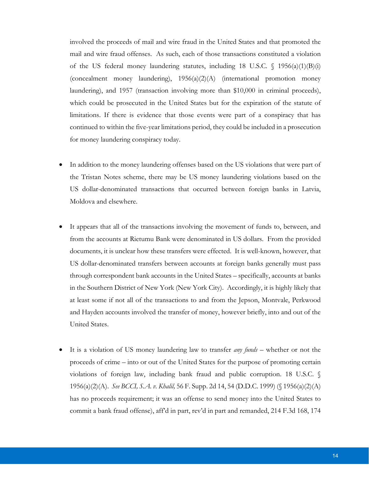involved the proceeds of mail and wire fraud in the United States and that promoted the mail and wire fraud offenses. As such, each of those transactions constituted a violation of the US federal money laundering statutes, including 18 U.S.C. § 1956(a)(1)(B)(i) (concealment money laundering),  $1956(a)(2)(A)$  (international promotion money) laundering), and 1957 (transaction involving more than \$10,000 in criminal proceeds), which could be prosecuted in the United States but for the expiration of the statute of limitations. If there is evidence that those events were part of a conspiracy that has continued to within the five-year limitations period, they could be included in a prosecution for money laundering conspiracy today.

- In addition to the money laundering offenses based on the US violations that were part of the Tristan Notes scheme, there may be US money laundering violations based on the US dollar-denominated transactions that occurred between foreign banks in Latvia, Moldova and elsewhere.
- It appears that all of the transactions involving the movement of funds to, between, and from the accounts at Rietumu Bank were denominated in US dollars. From the provided documents, it is unclear how these transfers were effected. It is well-known, however, that US dollar-denominated transfers between accounts at foreign banks generally must pass through correspondent bank accounts in the United States – specifically, accounts at banks in the Southern District of New York (New York City). Accordingly, it is highly likely that at least some if not all of the transactions to and from the Jepson, Montvale, Perkwood and Hayden accounts involved the transfer of money, however briefly, into and out of the United States.
- It is a violation of US money laundering law to transfer *any funds* whether or not the proceeds of crime – into or out of the United States for the purpose of promoting certain violations of foreign law, including bank fraud and public corruption. 18 U.S.C. § 1956(a)(2)(A). *See BCCI, S.A. v. Khalil,* 56 F. Supp. 2d 14, 54 (D.D.C. 1999) (§ 1956(a)(2)(A) has no proceeds requirement; it was an offense to send money into the United States to commit a bank fraud offense), aff'd in part, rev'd in part and remanded, 214 F.3d 168, 174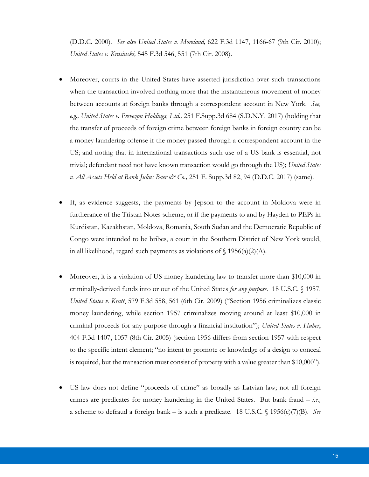(D.D.C. 2000). *See also United States v. Moreland,* 622 F.3d 1147, 1166-67 (9th Cir. 2010); *United States v. Krasinski,* 545 F.3d 546, 551 (7th Cir. 2008).

- Moreover, courts in the United States have asserted jurisdiction over such transactions when the transaction involved nothing more that the instantaneous movement of money between accounts at foreign banks through a correspondent account in New York. *See, e.g., United States v. Prevezon Holdings, Ltd.,* 251 F.Supp.3d 684 (S.D.N.Y. 2017) (holding that the transfer of proceeds of foreign crime between foreign banks in foreign country can be a money laundering offense if the money passed through a correspondent account in the US; and noting that in international transactions such use of a US bank is essential, not trivial; defendant need not have known transaction would go through the US); *United States v. All Assets Held at Bank Julius Baer & Co.,* 251 F. Supp.3d 82, 94 (D.D.C. 2017) (same).
- If, as evidence suggests, the payments by Jepson to the account in Moldova were in furtherance of the Tristan Notes scheme, or if the payments to and by Hayden to PEPs in Kurdistan, Kazakhstan, Moldova, Romania, South Sudan and the Democratic Republic of Congo were intended to be bribes, a court in the Southern District of New York would, in all likelihood, regard such payments as violations of  $\{1956(a)(2)(A)\}$ .
- Moreover, it is a violation of US money laundering law to transfer more than \$10,000 in criminally-derived funds into or out of the United States *for any purpose.* 18 U.S.C. § 1957. *United States v. Kratt*, 579 F.3d 558, 561 (6th Cir. 2009) ("Section 1956 criminalizes classic money laundering, while section 1957 criminalizes moving around at least \$10,000 in criminal proceeds for any purpose through a financial institution"); *United States v. Huber*, 404 F.3d 1407, 1057 (8th Cir. 2005) (section 1956 differs from section 1957 with respect to the specific intent element; "no intent to promote or knowledge of a design to conceal is required, but the transaction must consist of property with a value greater than \$10,000").
- US law does not define "proceeds of crime" as broadly as Latvian law; not all foreign crimes are predicates for money laundering in the United States. But bank fraud – *i.e.,* a scheme to defraud a foreign bank – is such a predicate. 18 U.S.C. § 1956(c)(7)(B). *See*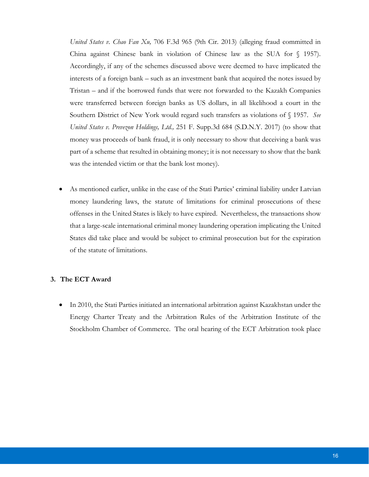*United States v. Chao Fan Xu,* 706 F.3d 965 (9th Cir. 2013) (alleging fraud committed in China against Chinese bank in violation of Chinese law as the SUA for § 1957). Accordingly, if any of the schemes discussed above were deemed to have implicated the interests of a foreign bank – such as an investment bank that acquired the notes issued by Tristan – and if the borrowed funds that were not forwarded to the Kazakh Companies were transferred between foreign banks as US dollars, in all likelihood a court in the Southern District of New York would regard such transfers as violations of § 1957. *See United States v. Prevezon Holdings, Ltd.,* 251 F. Supp.3d 684 (S.D.N.Y. 2017) (to show that money was proceeds of bank fraud, it is only necessary to show that deceiving a bank was part of a scheme that resulted in obtaining money; it is not necessary to show that the bank was the intended victim or that the bank lost money).

 As mentioned earlier, unlike in the case of the Stati Parties' criminal liability under Latvian money laundering laws, the statute of limitations for criminal prosecutions of these offenses in the United States is likely to have expired. Nevertheless, the transactions show that a large-scale international criminal money laundering operation implicating the United States did take place and would be subject to criminal prosecution but for the expiration of the statute of limitations.

# **3. The ECT Award**

 In 2010, the Stati Parties initiated an international arbitration against Kazakhstan under the Energy Charter Treaty and the Arbitration Rules of the Arbitration Institute of the Stockholm Chamber of Commerce. The oral hearing of the ECT Arbitration took place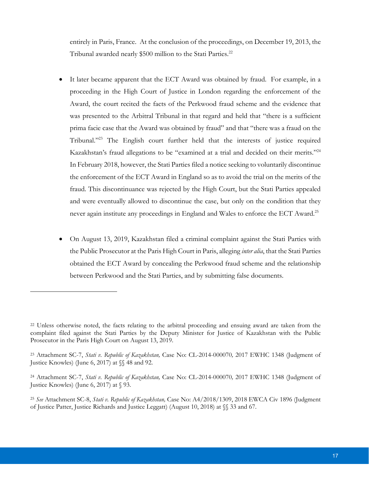entirely in Paris, France. At the conclusion of the proceedings, on December 19, 2013, the Tribunal awarded nearly \$500 million to the Stati Parties.<sup>22</sup>

- It later became apparent that the ECT Award was obtained by fraud. For example, in a proceeding in the High Court of Justice in London regarding the enforcement of the Award, the court recited the facts of the Perkwood fraud scheme and the evidence that was presented to the Arbitral Tribunal in that regard and held that "there is a sufficient prima facie case that the Award was obtained by fraud" and that "there was a fraud on the Tribunal."23 The English court further held that the interests of justice required Kazakhstan's fraud allegations to be "examined at a trial and decided on their merits."<sup>24</sup> In February 2018, however, the Stati Parties filed a notice seeking to voluntarily discontinue the enforcement of the ECT Award in England so as to avoid the trial on the merits of the fraud. This discontinuance was rejected by the High Court, but the Stati Parties appealed and were eventually allowed to discontinue the case, but only on the condition that they never again institute any proceedings in England and Wales to enforce the ECT Award.<sup>25</sup>
- On August 13, 2019, Kazakhstan filed a criminal complaint against the Stati Parties with the Public Prosecutor at the Paris High Court in Paris, alleging *inter alia*, that the Stati Parties obtained the ECT Award by concealing the Perkwood fraud scheme and the relationship between Perkwood and the Stati Parties, and by submitting false documents.

<sup>22</sup> Unless otherwise noted, the facts relating to the arbitral proceeding and ensuing award are taken from the complaint filed against the Stati Parties by the Deputy Minister for Justice of Kazakhstan with the Public Prosecutor in the Paris High Court on August 13, 2019.

<sup>23</sup> Attachment SC-7, *Stati v. Republic of Kazakhstan,* Case No: CL-2014-000070*,* 2017 EWHC 1348 (Judgment of Justice Knowles) (June 6, 2017) at §§ 48 and 92.

<sup>24</sup> Attachment SC-7, *Stati v. Republic of Kazakhstan,* Case No: CL-2014-000070*,* 2017 EWHC 1348 (Judgment of Justice Knowles) (June 6, 2017) at § 93.

<sup>25</sup> *See* Attachment SC-8, *Stati v. Republic of Kazakhstan,* Case No: A4/2018/1309, 2018 EWCA Civ 1896 (Judgment of Justice Patter, Justice Richards and Justice Leggatt) (August 10, 2018) at §§ 33 and 67.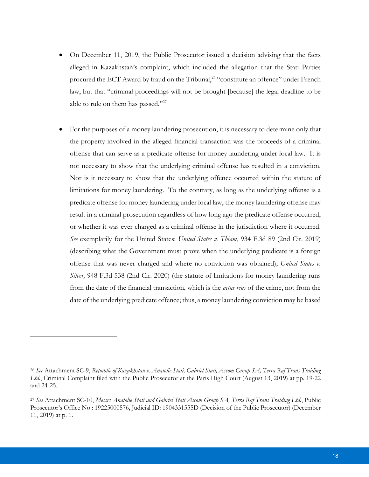- On December 11, 2019, the Public Prosecutor issued a decision advising that the facts alleged in Kazakhstan's complaint, which included the allegation that the Stati Parties procured the ECT Award by fraud on the Tribunal,<sup>26</sup> "constitute an offence" under French law, but that "criminal proceedings will not be brought [because] the legal deadline to be able to rule on them has passed."27
- For the purposes of a money laundering prosecution, it is necessary to determine only that the property involved in the alleged financial transaction was the proceeds of a criminal offense that can serve as a predicate offense for money laundering under local law. It is not necessary to show that the underlying criminal offense has resulted in a conviction. Nor is it necessary to show that the underlying offence occurred within the statute of limitations for money laundering. To the contrary, as long as the underlying offense is a predicate offense for money laundering under local law, the money laundering offense may result in a criminal prosecution regardless of how long ago the predicate offense occurred, or whether it was ever charged as a criminal offense in the jurisdiction where it occurred. *See* exemplarily for the United States: *United States v. Thiam*, 934 F.3d 89 (2nd Cir. 2019) (describing what the Government must prove when the underlying predicate is a foreign offense that was never charged and where no conviction was obtained); *United States v. Silver,* 948 F.3d 538 (2nd Cir. 2020) (the statute of limitations for money laundering runs from the date of the financial transaction, which is the *actus reus* of the crime, not from the date of the underlying predicate offence; thus, a money laundering conviction may be based

<sup>26</sup> *See* Attachment SC-9, *Republic of Kazakhstan v. Anatolie Stati, Gabriel Stati, Ascom Group SA, Terra Raf Trans Traiding Ltd.*, Criminal Complaint filed with the Public Prosecutor at the Paris High Court (August 13, 2019) at pp. 19-22 and 24-25.

<sup>27</sup> *See* Attachment SC-10, *Messrs Anatolie Stati and Gabriel Stati Ascom Group SA, Terra Raf Trans Traiding Ltd.*, Public Prosecutor's Office No.: 19225000576, Judicial ID: 1904331555D (Decision of the Public Prosecutor) (December 11, 2019) at p. 1.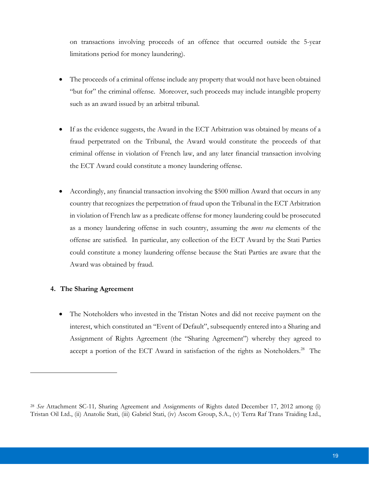on transactions involving proceeds of an offence that occurred outside the 5-year limitations period for money laundering).

- The proceeds of a criminal offense include any property that would not have been obtained "but for" the criminal offense. Moreover, such proceeds may include intangible property such as an award issued by an arbitral tribunal.
- If as the evidence suggests, the Award in the ECT Arbitration was obtained by means of a fraud perpetrated on the Tribunal, the Award would constitute the proceeds of that criminal offense in violation of French law, and any later financial transaction involving the ECT Award could constitute a money laundering offense.
- Accordingly, any financial transaction involving the \$500 million Award that occurs in any country that recognizes the perpetration of fraud upon the Tribunal in the ECT Arbitration in violation of French law as a predicate offense for money laundering could be prosecuted as a money laundering offense in such country, assuming the *mens rea* elements of the offense are satisfied. In particular, any collection of the ECT Award by the Stati Parties could constitute a money laundering offense because the Stati Parties are aware that the Award was obtained by fraud.

#### **4. The Sharing Agreement**

 $\overline{a}$ 

 The Noteholders who invested in the Tristan Notes and did not receive payment on the interest, which constituted an "Event of Default", subsequently entered into a Sharing and Assignment of Rights Agreement (the "Sharing Agreement") whereby they agreed to accept a portion of the ECT Award in satisfaction of the rights as Noteholders.<sup>28</sup> The

<sup>28</sup> *See* Attachment SC-11*,* Sharing Agreement and Assignments of Rights dated December 17, 2012 among (i) Tristan Oil Ltd., (ii) Anatolie Stati, (iii) Gabriel Stati, (iv) Ascom Group, S.A., (v) Terra Raf Trans Traiding Ltd.,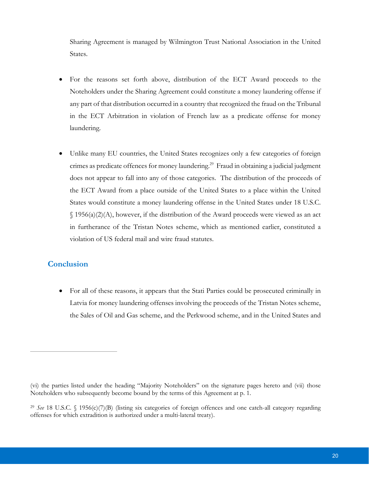Sharing Agreement is managed by Wilmington Trust National Association in the United States.

- For the reasons set forth above, distribution of the ECT Award proceeds to the Noteholders under the Sharing Agreement could constitute a money laundering offense if any part of that distribution occurred in a country that recognized the fraud on the Tribunal in the ECT Arbitration in violation of French law as a predicate offense for money laundering.
- Unlike many EU countries, the United States recognizes only a few categories of foreign crimes as predicate offences for money laundering.<sup>29</sup> Fraud in obtaining a judicial judgment does not appear to fall into any of those categories. The distribution of the proceeds of the ECT Award from a place outside of the United States to a place within the United States would constitute a money laundering offense in the United States under 18 U.S.C.  $\{(1956(a)(2)(A), however, if the distribution of the Award proceeds were viewed as an act$ in furtherance of the Tristan Notes scheme, which as mentioned earlier, constituted a violation of US federal mail and wire fraud statutes.

# **Conclusion**

 $\overline{a}$ 

 For all of these reasons, it appears that the Stati Parties could be prosecuted criminally in Latvia for money laundering offenses involving the proceeds of the Tristan Notes scheme, the Sales of Oil and Gas scheme, and the Perkwood scheme, and in the United States and

<sup>(</sup>vi) the parties listed under the heading "Majority Noteholders" on the signature pages hereto and (vii) those Noteholders who subsequently become bound by the terms of this Agreement at p. 1.

<sup>29</sup> *See* 18 U.S.C. § 1956(c)(7)(B) (listing six categories of foreign offences and one catch-all category regarding offenses for which extradition is authorized under a multi-lateral treaty).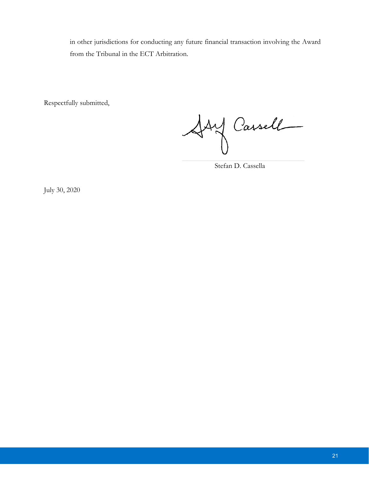in other jurisdictions for conducting any future financial transaction involving the Award from the Tribunal in the ECT Arbitration.

Respectfully submitted,

Asy Cassell

Stefan D. Cassella

July 30, 2020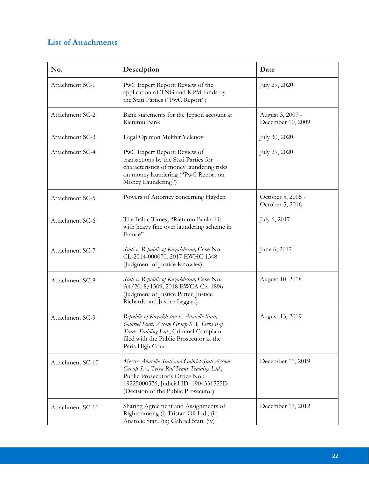# **List of Attachments**

| No.              | Description                                                                                                                                                                                                  | Date                                  |
|------------------|--------------------------------------------------------------------------------------------------------------------------------------------------------------------------------------------------------------|---------------------------------------|
| Attachment SC-1  | PwC Expert Report: Review of the<br>application of TNG and KPM funds by<br>the Stati Parties ("PwC Report")                                                                                                  | July 29, 2020                         |
| Attachment SC-2  | Bank statements for the Jepson account at<br>Rietumu Bank                                                                                                                                                    | August 3, 2007 -<br>December 10, 2009 |
| Attachment SC-3  | Legal Opinion Mukhit Yeleuov                                                                                                                                                                                 | July 30, 2020                         |
| Attachment SC-4  | PwC Expert Report: Review of<br>transactions by the Stati Parties for<br>characteristics of money laundering risks<br>on money laundering ("PwC Report on<br>Money Laundering")                              | July 29, 2020                         |
| Attachment SC-5  | Powers of Attorney concerning Hayden                                                                                                                                                                         | October 5, 2005 -<br>October 5, 2016  |
| Attachment SC-6  | The Baltic Times, "Rietumu Banka hit<br>with heavy fine over laundering scheme in<br>France"                                                                                                                 | July 6, 2017                          |
| Attachment SC-7  | Stati v. Republic of Kazakhstan, Case No:<br>CL-2014-000070, 2017 EWHC 1348<br>(Judgment of Justice Knowles)                                                                                                 | June 6, 2017                          |
| Attachment SC-8  | Stati v. Republic of Kazakhstan, Case No:<br>A4/2018/1309, 2018 EWCA Civ 1896<br>(Judgment of Justice Patter, Justice<br>Richards and Justice Leggatt)                                                       | August 10, 2018                       |
| Attachment SC-9  | Republic of Kazakhstan v. Anatolie Stati,<br>Gabriel Stati, Ascom Group SA, Terra Raf<br>Trans Traiding Ltd., Criminal Complaint<br>filed with the Public Prosecutor at the<br>Paris High Court              | August 13, 2019                       |
| Attachment SC-10 | Messrs Anatolie Stati and Gabriel Stati Ascom<br>Group SA, Terra Raf Trans Traiding Ltd.,<br>Public Prosecutor's Office No.:<br>19225000576, Judicial ID: 1904331555D<br>(Decision of the Public Prosecutor) | December 11, 2019                     |
| Attachment SC-11 | Sharing Agreement and Assignments of<br>Rights among (i) Tristan Oil Ltd., (ii)<br>Anatolie Stati, (iii) Gabriel Stati, (iv)                                                                                 | December 17, 2012                     |